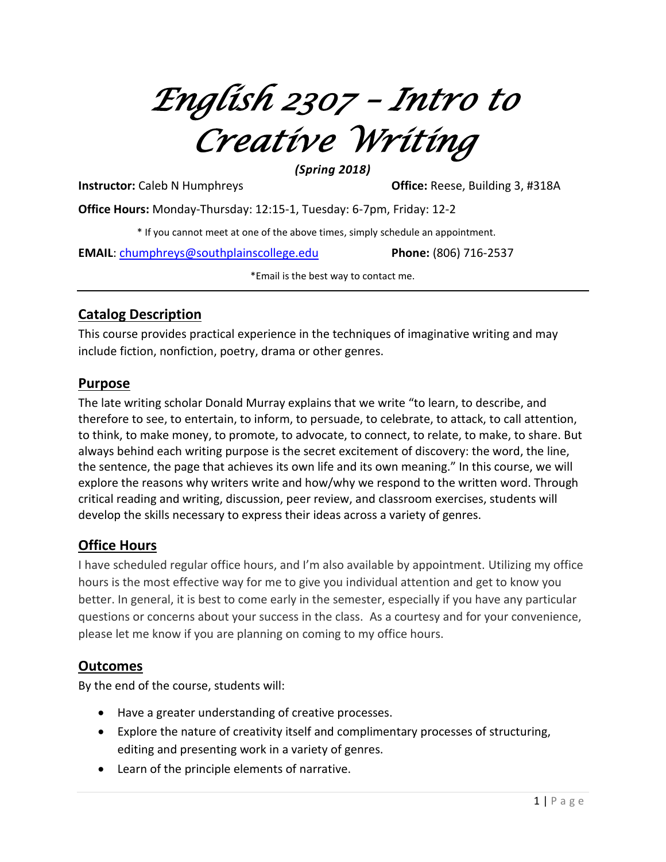*English 2307 – Intro to Creative Writing*

*(Spring 2018)*

**Instructor:** Caleb N Humphreys **Office:** Reese, Building 3, #318A

**Office Hours:** Monday-Thursday: 12:15-1, Tuesday: 6-7pm, Friday: 12-2

\* If you cannot meet at one of the above times, simply schedule an appointment.

**EMAIL**: [chumphreys@southplainscollege.edu](mailto:chumphreys@southplainscollege.edu) **Phone:** (806) 716-2537

\*Email is the best way to contact me.

## **Catalog Description**

This course provides practical experience in the techniques of imaginative writing and may include fiction, nonfiction, poetry, drama or other genres.

#### **Purpose**

The late writing scholar Donald Murray explains that we write "to learn, to describe, and therefore to see, to entertain, to inform, to persuade, to celebrate, to attack, to call attention, to think, to make money, to promote, to advocate, to connect, to relate, to make, to share. But always behind each writing purpose is the secret excitement of discovery: the word, the line, the sentence, the page that achieves its own life and its own meaning." In this course, we will explore the reasons why writers write and how/why we respond to the written word. Through critical reading and writing, discussion, peer review, and classroom exercises, students will develop the skills necessary to express their ideas across a variety of genres.

# **Office Hours**

I have scheduled regular office hours, and I'm also available by appointment. Utilizing my office hours is the most effective way for me to give you individual attention and get to know you better. In general, it is best to come early in the semester, especially if you have any particular questions or concerns about your success in the class. As a courtesy and for your convenience, please let me know if you are planning on coming to my office hours.

### **Outcomes**

By the end of the course, students will:

- Have a greater understanding of creative processes.
- Explore the nature of creativity itself and complimentary processes of structuring, editing and presenting work in a variety of genres.
- Learn of the principle elements of narrative.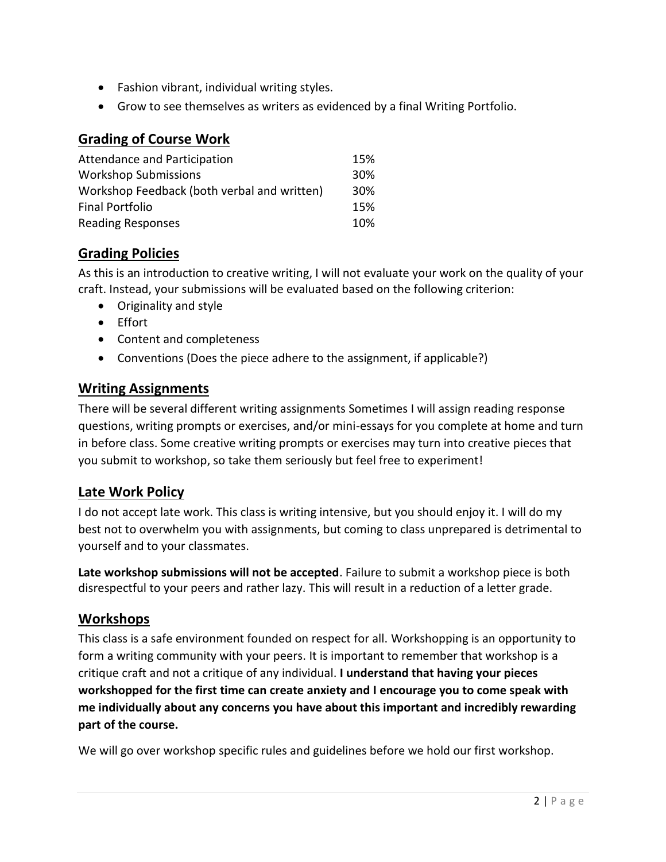- Fashion vibrant, individual writing styles.
- Grow to see themselves as writers as evidenced by a final Writing Portfolio.

## **Grading of Course Work**

| Attendance and Participation                | 15% |
|---------------------------------------------|-----|
| <b>Workshop Submissions</b>                 | 30% |
| Workshop Feedback (both verbal and written) | 30% |
| Final Portfolio                             | 15% |
| <b>Reading Responses</b>                    | 10% |

## **Grading Policies**

As this is an introduction to creative writing, I will not evaluate your work on the quality of your craft. Instead, your submissions will be evaluated based on the following criterion:

- Originality and style
- Effort
- Content and completeness
- Conventions (Does the piece adhere to the assignment, if applicable?)

### **Writing Assignments**

There will be several different writing assignments Sometimes I will assign reading response questions, writing prompts or exercises, and/or mini-essays for you complete at home and turn in before class. Some creative writing prompts or exercises may turn into creative pieces that you submit to workshop, so take them seriously but feel free to experiment!

### **Late Work Policy**

I do not accept late work. This class is writing intensive, but you should enjoy it. I will do my best not to overwhelm you with assignments, but coming to class unprepared is detrimental to yourself and to your classmates.

**Late workshop submissions will not be accepted**. Failure to submit a workshop piece is both disrespectful to your peers and rather lazy. This will result in a reduction of a letter grade.

### **Workshops**

This class is a safe environment founded on respect for all. Workshopping is an opportunity to form a writing community with your peers. It is important to remember that workshop is a critique craft and not a critique of any individual. **I understand that having your pieces workshopped for the first time can create anxiety and I encourage you to come speak with me individually about any concerns you have about this important and incredibly rewarding part of the course.**

We will go over workshop specific rules and guidelines before we hold our first workshop.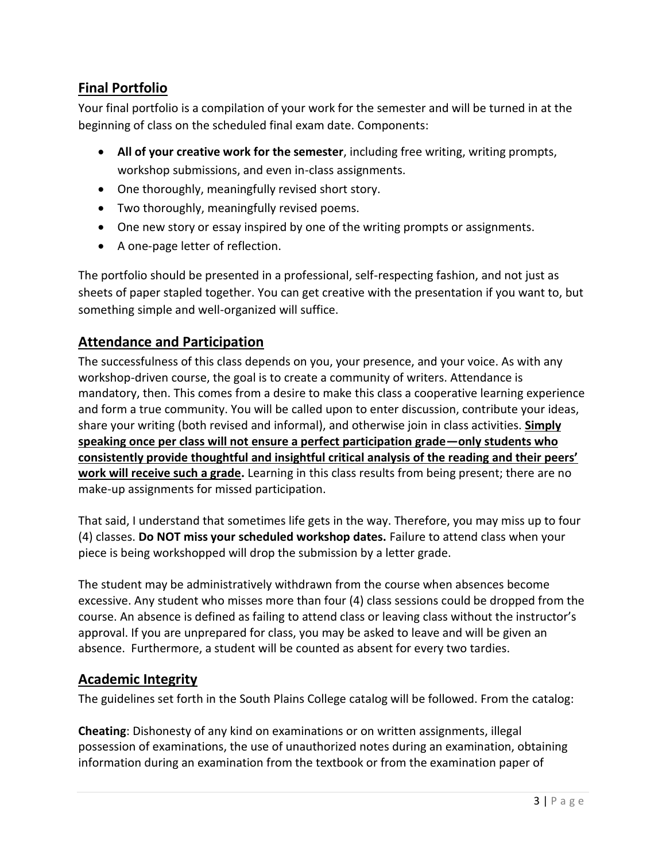# **Final Portfolio**

Your final portfolio is a compilation of your work for the semester and will be turned in at the beginning of class on the scheduled final exam date. Components:

- **All of your creative work for the semester**, including free writing, writing prompts, workshop submissions, and even in-class assignments.
- One thoroughly, meaningfully revised short story.
- Two thoroughly, meaningfully revised poems.
- One new story or essay inspired by one of the writing prompts or assignments.
- A one-page letter of reflection.

The portfolio should be presented in a professional, self-respecting fashion, and not just as sheets of paper stapled together. You can get creative with the presentation if you want to, but something simple and well-organized will suffice.

## **Attendance and Participation**

The successfulness of this class depends on you, your presence, and your voice. As with any workshop-driven course, the goal is to create a community of writers. Attendance is mandatory, then. This comes from a desire to make this class a cooperative learning experience and form a true community. You will be called upon to enter discussion, contribute your ideas, share your writing (both revised and informal), and otherwise join in class activities. **Simply speaking once per class will not ensure a perfect participation grade—only students who consistently provide thoughtful and insightful critical analysis of the reading and their peers' work will receive such a grade.** Learning in this class results from being present; there are no make-up assignments for missed participation.

That said, I understand that sometimes life gets in the way. Therefore, you may miss up to four (4) classes. **Do NOT miss your scheduled workshop dates.** Failure to attend class when your piece is being workshopped will drop the submission by a letter grade.

The student may be administratively withdrawn from the course when absences become excessive. Any student who misses more than four (4) class sessions could be dropped from the course. An absence is defined as failing to attend class or leaving class without the instructor's approval. If you are unprepared for class, you may be asked to leave and will be given an absence. Furthermore, a student will be counted as absent for every two tardies.

### **Academic Integrity**

The guidelines set forth in the South Plains College catalog will be followed. From the catalog:

**Cheating**: Dishonesty of any kind on examinations or on written assignments, illegal possession of examinations, the use of unauthorized notes during an examination, obtaining information during an examination from the textbook or from the examination paper of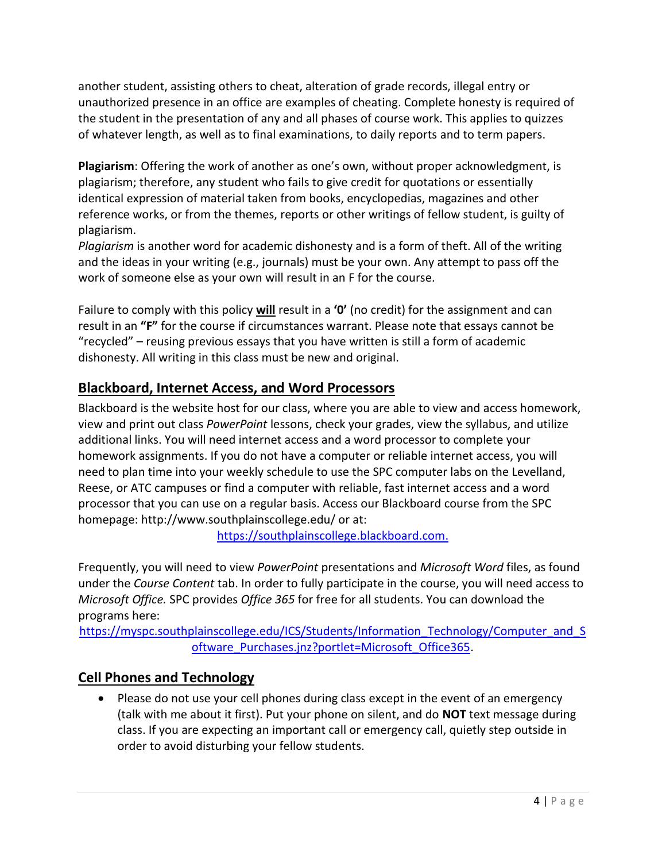another student, assisting others to cheat, alteration of grade records, illegal entry or unauthorized presence in an office are examples of cheating. Complete honesty is required of the student in the presentation of any and all phases of course work. This applies to quizzes of whatever length, as well as to final examinations, to daily reports and to term papers.

**Plagiarism**: Offering the work of another as one's own, without proper acknowledgment, is plagiarism; therefore, any student who fails to give credit for quotations or essentially identical expression of material taken from books, encyclopedias, magazines and other reference works, or from the themes, reports or other writings of fellow student, is guilty of plagiarism.

*Plagiarism* is another word for academic dishonesty and is a form of theft. All of the writing and the ideas in your writing (e.g., journals) must be your own. Any attempt to pass off the work of someone else as your own will result in an F for the course.

Failure to comply with this policy **will** result in a **'0'** (no credit) for the assignment and can result in an **"F"** for the course if circumstances warrant. Please note that essays cannot be "recycled" – reusing previous essays that you have written is still a form of academic dishonesty. All writing in this class must be new and original.

# **Blackboard, Internet Access, and Word Processors**

Blackboard is the website host for our class, where you are able to view and access homework, view and print out class *PowerPoint* lessons, check your grades, view the syllabus, and utilize additional links. You will need internet access and a word processor to complete your homework assignments. If you do not have a computer or reliable internet access, you will need to plan time into your weekly schedule to use the SPC computer labs on the Levelland, Reese, or ATC campuses or find a computer with reliable, fast internet access and a word processor that you can use on a regular basis. Access our Blackboard course from the SPC homepage: http://www.southplainscollege.edu/ or at:

[https://southplainscollege.blackboard.com.](https://southplainscollege.blackboard.com/)

Frequently, you will need to view *PowerPoint* presentations and *Microsoft Word* files, as found under the *Course Content* tab. In order to fully participate in the course, you will need access to *Microsoft Office.* SPC provides *Office 365* for free for all students. You can download the programs here:

[https://myspc.southplainscollege.edu/ICS/Students/Information\\_Technology/Computer\\_and\\_S](https://myspc.southplainscollege.edu/ICS/Students/Information_Technology/Computer_and_Software_Purchases.jnz?portlet=Microsoft_Office365) [oftware\\_Purchases.jnz?portlet=Microsoft\\_Office365.](https://myspc.southplainscollege.edu/ICS/Students/Information_Technology/Computer_and_Software_Purchases.jnz?portlet=Microsoft_Office365)

# **Cell Phones and Technology**

• Please do not use your cell phones during class except in the event of an emergency (talk with me about it first). Put your phone on silent, and do **NOT** text message during class. If you are expecting an important call or emergency call, quietly step outside in order to avoid disturbing your fellow students.